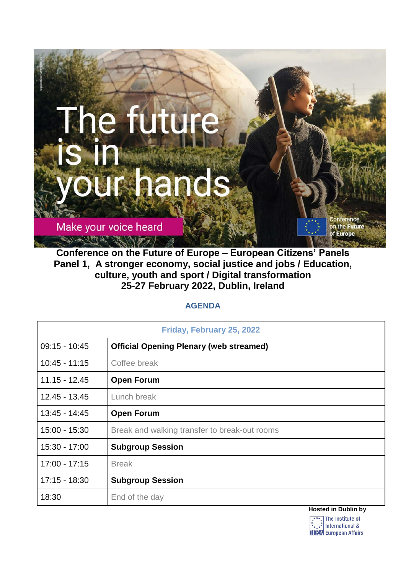

**Conference on the Future of Europe – European Citizens' Panels Panel 1, A stronger economy, social justice and jobs / Education, culture, youth and sport / Digital transformation 25-27 February 2022, Dublin, Ireland**

## **AGENDA**

| Friday, February 25, 2022 |                                                |
|---------------------------|------------------------------------------------|
| $09:15 - 10:45$           | <b>Official Opening Plenary (web streamed)</b> |
| $10:45 - 11:15$           | Coffee break                                   |
| $11.15 - 12.45$           | <b>Open Forum</b>                              |
| $12.45 - 13.45$           | Lunch break                                    |
| $13:45 - 14:45$           | <b>Open Forum</b>                              |
| $15:00 - 15:30$           | Break and walking transfer to break-out rooms  |
| 15:30 - 17:00             | <b>Subgroup Session</b>                        |
| $17:00 - 17:15$           | <b>Break</b>                                   |
| $17:15 - 18:30$           | <b>Subgroup Session</b>                        |
| 18:30                     | End of the day                                 |
|                           | <b>Hosted in Dublin by</b>                     |

 $\sqrt{ }$  The Institute of  $\therefore$  International & **ITEA** European Affairs